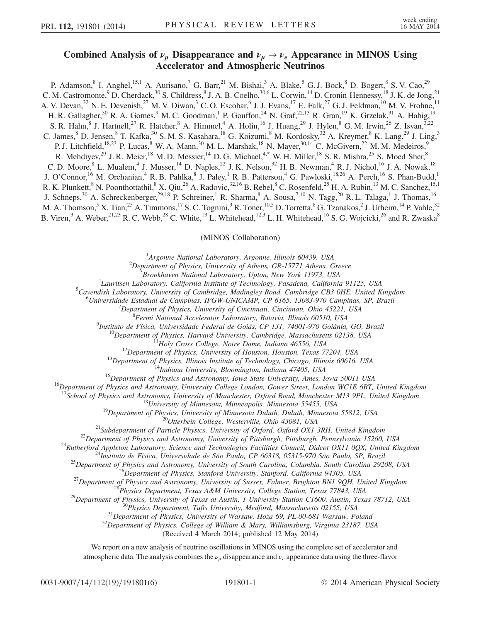## Combined Analysis of  $\nu_{\mu}$  Disappearance and  $\nu_{\mu} \rightarrow \nu_{e}$  Appearance in MINOS Using Accelerator and Atmospheric Neutrinos

<span id="page-0-0"></span>P. Adamson,<sup>8</sup> I. Anghel,<sup>15,1</sup> A. Aurisano,<sup>7</sup> G. Barr,<sup>21</sup> M. Bishai,<sup>3</sup> A. Blake,<sup>5</sup> G. J. Bock,<sup>8</sup> D. Bogert,<sup>8</sup> S. V. Cao,<sup>29</sup> C. M. Castromonte,  $9^9$  D. Cherdack,  $30^9$  S. Childress,  $8^8$  J. A. B. Coelho,  $30.6$  L. Corwin,  $1^4$  D. Cronin-Hennessy,  $1^8$  J. K. de Jong,  $2^1$ A. V. Devan,<sup>32</sup> N. E. Devenish,<sup>27</sup> M. V. Diwan,<sup>3</sup> C. O. Escobar,<sup>6</sup> J. J. Evans,<sup>17</sup> E. Falk,<sup>27</sup> G. J. Feldman,<sup>10</sup> M. V. Frohne,<sup>11</sup> H. R. Gallagher,<sup>30</sup> R. A. Gomes,<sup>9</sup> M. C. Goodman,<sup>1</sup> P. Gouffon,<sup>24</sup> N. Graf,<sup>22,13</sup> R. Gran,<sup>19</sup> K. Grzelak,<sup>31</sup> A. Habig,<sup>19</sup> S. R. Hahn,  $8$  J. Hartnell,  $2^7$  R. Hatcher,  $8$  A. Himmel,  $4$  A. Holin,  $16$  J. Huang,  $2^9$  J. Hylen,  $8$  G. M. Irwin,  $2^6$  Z. Isvan,  $3.22$ C. James, $8$  D. Jensen, $8$  T. Kafka, $30$  S. M. S. Kasahara, $18$  G. Koizumi, $8$  M. Kordosky, $32$  A. Kreymer, $8$  K. Lang, $29$  J. Ling, $3$ P. J. Litchfield,<sup>18,23</sup> P. Lucas, <sup>8</sup> W. A. Mann, <sup>30</sup> M. L. Marshak, <sup>18</sup> N. Mayer, <sup>30,14</sup> C. McGivern, <sup>22</sup> M. M. Medeiros, <sup>9</sup> R. Mehdiyev,<sup>29</sup> J. R. Meier,<sup>18</sup> M. D. Messier,<sup>14</sup> D. G. Michael,<sup>[4,\\*](#page-4-0)</sup> W. H. Miller,<sup>18</sup> S. R. Mishra,<sup>25</sup> S. Moed Sher,<sup>8</sup> C. D. Moore, <sup>8</sup> L. Mualem, <sup>4</sup> J. Musser, <sup>14</sup> D. Naples, <sup>22</sup> J. K. Nelson, <sup>32</sup> H. B. Newman, <sup>4</sup> R. J. Nichol, <sup>16</sup> J. A. Nowak, <sup>18</sup> J. O'Connor,<sup>16</sup> M. Orchanian,<sup>4</sup> R. B. Pahlka,<sup>8</sup> J. Paley,<sup>1</sup> R. B. Patterson,<sup>4</sup> G. Pawloski,<sup>18,26</sup> A. Perch,<sup>16</sup> S. Phan-Budd,<sup>1</sup> R. K. Plunkett,<sup>8</sup> N. Poonthottathil,<sup>8</sup> X. Qiu,<sup>26</sup> A. Radovic,<sup>32,16</sup> B. Rebel,<sup>8</sup> C. Rosenfeld,<sup>25</sup> H. A. Rubin,<sup>13</sup> M. C. Sanchez,<sup>15,1</sup> J. Schneps,<sup>30</sup> A. Schreckenberger,<sup>29,18</sup> P. Schreiner,<sup>1</sup> R. Sharma,<sup>8</sup> A. Sousa,<sup>7,10</sup> N. Tagg,<sup>20</sup> R. L. Talaga,<sup>1</sup> J. Thomas,<sup>16</sup> M. A. Thomson,  $5$  X. Tian,  $^{25}$  A. Timmons,  $^{17}$  S. C. Tognini,  $^{9}$  R. Toner,  $^{10,5}$  D. Torretta,  $^{8}$  G. Tzanakos,  $^{2}$  J. Urheim,  $^{14}$  P. Vahle,  $^{32}$ B. Viren,<sup>3</sup> A. Weber,<sup>21,23</sup> R. C. Webb,<sup>28</sup> C. White,<sup>13</sup> L. Whitehead,<sup>12,3</sup> L. H. Whitehead,<sup>16</sup> S. G. Wojcicki,<sup>26</sup> and R. Zwaska<sup>8</sup>

## (MINOS Collaboration)

<sup>1</sup>Argonne National Laboratory, Argonne, Illinois 60439, USA<br><sup>2</sup>Department of Physics, University of Atlanta CB 15771 Atlanta C

<sup>2</sup>Department of Physics, University of Athens, GR-15771 Athens, Greece

 $\beta$ Brookhaven National Laboratory, Upton, New York 11973, USA

<sup>4</sup>Lauritsen Laboratory, California Institute of Technology, Pasadena, California 91125, USA

 ${}^{5}$ Cavendish Laboratory, University of Cambridge, Madingley Road, Cambridge CB3 0HE, United Kingdom

 $^{6}$ Universidade Estadual de Campinas, IFGW-UNICAMP, CP 6165, 13083-970 Campinas, SP, Brazil

 $\nu$ Department of Physics, University of Cincinnati, Cincinnati, Ohio 45221, USA

<sup>8</sup> Fermi National Accelerator Laboratory, Batavia, Illinois 60510, USA<br><sup>9</sup>Instituto de Física, Universidade Federal de Goiás, CP 131, 74001-970 Goiânia, GO, Brazil

<sup>10</sup>Department of Physics, Harvard University, Cambridge, Massachusetts 02138, USA<br><sup>11</sup>Holy Cross College, Notre Dame, Indiana 46556, USA<br><sup>12</sup>Department of Physics, University of Houston, Houston, Texas 77204, USA<br><sup>13</sup>Dep

<sup>17</sup>School of Physics and Astronomy, University of Manchester, Oxford Road, Manchester M13 9PL, United Kingdom<br><sup>18</sup>University of Minnesota, Minnesota, Minnesota 55812, USA<br><sup>19</sup>Department of Physics, University of Minnesot

(Received 4 March 2014; published 12 May 2014)

We report on a new analysis of neutrino oscillations in MINOS using the complete set of accelerator and atmospheric data. The analysis combines the  $\nu_{\mu}$  disappearance and  $\nu_{e}$  appearance data using the three-flavor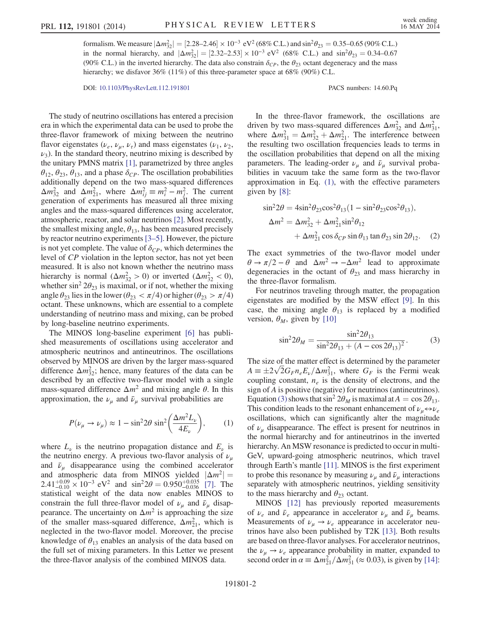formalism. We measure  $|\Delta m_{32}^2| = [2.28-2.46] \times 10^{-3} \text{ eV}^2 (68\% \text{ C.L.})$  and  $\sin^2 \theta_{23} = 0.35-0.65$  (90% C.L.) in the normal hierarchy, and  $|\Delta m_{32}^2| = [2.32-2.53] \times 10^{-3} \text{ eV}^2$  (68% C.L.) and  $\sin^2 \theta_{23} = 0.34-0.67$ (90% C.L.) in the inverted hierarchy. The data also constrain  $\delta_{CP}$ , the  $\theta_{23}$  octant degeneracy and the mass hierarchy; we disfavor 36% (11%) of this three-parameter space at 68% (90%) C.L.

DOI: [10.1103/PhysRevLett.112.191801](http://dx.doi.org/10.1103/PhysRevLett.112.191801) PACS numbers: 14.60.Pq

The study of neutrino oscillations has entered a precision era in which the experimental data can be used to probe the three-flavor framework of mixing between the neutrino flavor eigenstates ( $\nu_e$ ,  $\nu_u$ ,  $\nu_{\tau}$ ) and mass eigenstates ( $\nu_1$ ,  $\nu_2$ ,  $\nu_3$ ). In the standard theory, neutrino mixing is described by the unitary PMNS matrix [\[1\]](#page-4-1), parametrized by three angles  $\theta_{12}, \theta_{23}, \theta_{13}$ , and a phase  $\delta_{CP}$ . The oscillation probabilities additionally depend on the two mass-squared differences  $\Delta m_{32}^2$  and  $\Delta m_{21}^2$ , where  $\Delta m_{ij}^2 \equiv m_i^2 - m_j^2$ . The current generation of experiments has measured all three mixing angles and the mass-squared differences using accelerator, atmospheric, reactor, and solar neutrinos [\[2\]](#page-4-2). Most recently, the smallest mixing angle,  $\theta_{13}$ , has been measured precisely by reactor neutrino experiments [3–[5\].](#page-4-3) However, the picture is not yet complete. The value of  $\delta_{CP}$ , which determines the level of CP violation in the lepton sector, has not yet been measured. It is also not known whether the neutrino mass hierarchy is normal  $(\Delta m_{32}^2 > 0)$  or inverted  $(\Delta m_{32}^2 < 0)$ , whether sin<sup>2</sup>  $2\theta_{23}$  is maximal, or if not, whether the mixing angle  $\theta_{23}$  lies in the lower ( $\theta_{23} < \pi/4$ ) or higher ( $\theta_{23} > \pi/4$ ) octant. These unknowns, which are essential to a complete understanding of neutrino mass and mixing, can be probed by long-baseline neutrino experiments.

The MINOS long-baseline experiment [\[6\]](#page-4-4) has published measurements of oscillations using accelerator and atmospheric neutrinos and antineutrinos. The oscillations observed by MINOS are driven by the larger mass-squared difference  $\Delta m_{32}^2$ ; hence, many features of the data can be described by an effective two-flavor model with a single mass-squared difference  $\Delta m^2$  and mixing angle  $\theta$ . In this approximation, the  $\nu_{\mu}$  and  $\bar{\nu}_{\mu}$  survival probabilities are

<span id="page-1-0"></span>
$$
P(\nu_{\mu} \to \nu_{\mu}) \approx 1 - \sin^2 2\theta \sin^2 \left(\frac{\Delta m^2 L_{\nu}}{4E_{\nu}}\right), \quad (1)
$$

where  $L_{\nu}$  is the neutrino propagation distance and  $E_{\nu}$  is the neutrino energy. A previous two-flavor analysis of  $\nu_{\mu}$ and  $\bar{\nu}_\mu$  disappearance using the combined accelerator and atmospheric data from MINOS yielded  $|\Delta m^2|$  =  $2.41^{+0.09}_{-0.10} \times 10^{-3}$  eV<sup>2</sup> and sin<sup>2</sup>2 $\theta = 0.950^{+0.035}_{-0.036}$  [\[7\]](#page-4-5). The statistical weight of the data now enables MINOS to constrain the full three-flavor model of  $\nu_{\mu}$  and  $\bar{\nu}_{\mu}$  disappearance. The uncertainty on  $\Delta m^2$  is approaching the size of the smaller mass-squared difference,  $\Delta m_{21}^2$ , which is neglected in the two-flavor model. Moreover, the precise knowledge of  $\theta_{13}$  enables an analysis of the data based on the full set of mixing parameters. In this Letter we present the three-flavor analysis of the combined MINOS data.

In the three-flavor framework, the oscillations are driven by two mass-squared differences  $\Delta m_{32}^2$  and  $\Delta m_{31}^2$ , where  $\Delta m_{31}^2 = \Delta m_{32}^2 + \Delta m_{21}^2$ . The interference between the resulting two oscillation frequencies leads to terms in the oscillation probabilities that depend on all the mixing parameters. The leading-order  $\nu_{\mu}$  and  $\bar{\nu}_{\mu}$  survival probabilities in vacuum take the same form as the two-flavor approximation in Eq. [\(1\)](#page-1-0), with the effective parameters given by [\[8\]:](#page-4-6)

$$
\sin^2 2\theta = 4\sin^2 \theta_{23} \cos^2 \theta_{13} (1 - \sin^2 \theta_{23} \cos^2 \theta_{13}),
$$
  
\n
$$
\Delta m^2 = \Delta m_{32}^2 + \Delta m_{21}^2 \sin^2 \theta_{12}
$$
  
\n
$$
+ \Delta m_{21}^2 \cos \delta_{CP} \sin \theta_{13} \tan \theta_{23} \sin 2\theta_{12}.
$$
 (2)

The exact symmetries of the two-flavor model under  $\theta \rightarrow \pi/2 - \theta$  and  $\Delta m^2 \rightarrow -\Delta m^2$  lead to approximate degeneracies in the octant of  $\theta_{23}$  and mass hierarchy in the three-flavor formalism.

<span id="page-1-1"></span>For neutrinos traveling through matter, the propagation eigenstates are modified by the MSW effect [\[9\].](#page-4-7) In this case, the mixing angle  $\theta_{13}$  is replaced by a modified version,  $\theta_M$ , given by [\[10\]](#page-4-8)

$$
\sin^2 2\theta_M = \frac{\sin^2 2\theta_{13}}{\sin^2 2\theta_{13} + (A - \cos 2\theta_{13})^2}.
$$
 (3)

The size of the matter effect is determined by the parameter  $A = \pm 2\sqrt{2}G_F n_e E_\nu / \Delta m_{31}^2$ , where  $G_F$  is the Fermi weak coupling constant,  $n_e$  is the density of electrons, and the sign of A is positive (negative) for neutrinos (antineutrinos). Equation [\(3\)](#page-1-1) shows that  $\sin^2 2\theta_M$  is maximal at  $A = \cos 2\theta_{13}$ . This condition leads to the resonant enhancement of  $\nu_{\mu} \leftrightarrow \nu_{e}$ oscillations, which can significantly alter the magnitude of  $\nu_{\mu}$  disappearance. The effect is present for neutrinos in the normal hierarchy and for antineutrinos in the inverted hierarchy. An MSW resonance is predicted to occur in multi-GeV, upward-going atmospheric neutrinos, which travel through Earth's mantle [\[11\]](#page-4-9). MINOS is the first experiment to probe this resonance by measuring  $\nu_{\mu}$  and  $\bar{\nu}_{\mu}$  interactions separately with atmospheric neutrinos, yielding sensitivity to the mass hierarchy and  $\theta_{23}$  octant.

<span id="page-1-2"></span>MINOS [\[12\]](#page-4-10) has previously reported measurements of  $\nu_e$  and  $\bar{\nu}_e$  appearance in accelerator  $\nu_\mu$  and  $\bar{\nu}_\mu$  beams. Measurements of  $\nu_{\mu} \rightarrow \nu_{e}$  appearance in accelerator neutrinos have also been published by T2K [\[13\].](#page-4-11) Both results are based on three-flavor analyses. For accelerator neutrinos, the  $\nu_{\mu} \rightarrow \nu_{e}$  appearance probability in matter, expanded to second order in  $\alpha \equiv \Delta m_{21}^2 / \Delta m_{31}^2 \approx 0.03$ ), is given by [\[14\]](#page-4-12):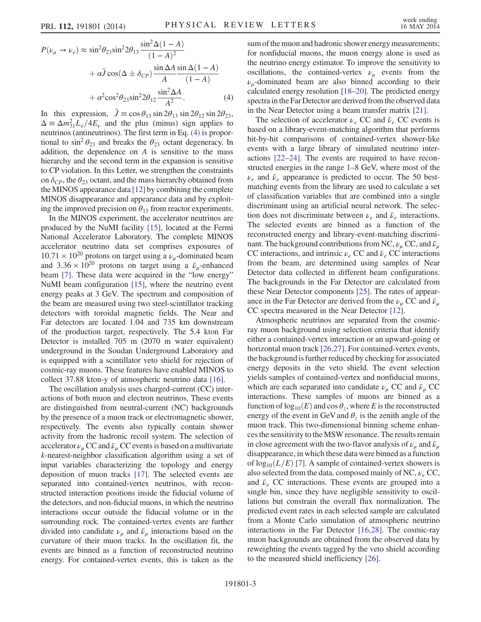$$
P(\nu_{\mu} \to \nu_{e}) \approx \sin^{2} \theta_{23} \sin^{2} 2\theta_{13} \frac{\sin^{2} \Delta (1-A)}{(1-A)^{2}}
$$

$$
+ \alpha \tilde{J} \cos(\Delta \pm \delta_{CP}) \frac{\sin \Delta A}{A} \frac{\sin \Delta (1-A)}{(1-A)}
$$

$$
+ \alpha^{2} \cos^{2} \theta_{23} \sin^{2} 2\theta_{12} \frac{\sin^{2} \Delta A}{A^{2}}.
$$
(4)

In this expression,  $\tilde{J} \equiv \cos \theta_{13} \sin 2\theta_{13} \sin 2\theta_{12} \sin 2\theta_{23}$ ,  $\Delta = \Delta m_{31}^2 L_{\nu}/4E_{\nu}$  and the plus (minus) sign applies to neutrinos (antineutrinos). The first term in Eq. [\(4\)](#page-1-2) is proportional to  $\sin^2 \theta_{23}$  and breaks the  $\theta_{23}$  octant degeneracy. In addition, the dependence on A is sensitive to the mass hierarchy and the second term in the expansion is sensitive to CP violation. In this Letter, we strengthen the constraints on  $\delta_{CP}$ , the  $\theta_{23}$  octant, and the mass hierarchy obtained from the MINOS appearance data [\[12\]](#page-4-10) by combining the complete MINOS disappearance and appearance data and by exploiting the improved precision on  $\theta_{13}$  from reactor experiments.

In the MINOS experiment, the accelerator neutrinos are produced by the NuMI facility [\[15\],](#page-4-13) located at the Fermi National Accelerator Laboratory. The complete MINOS accelerator neutrino data set comprises exposures of  $10.71 \times 10^{20}$  protons on target using a  $\nu_u$ -dominated beam and  $3.36 \times 10^{20}$  protons on target using a  $\bar{\nu}_u$ -enhanced beam [\[7\].](#page-4-5) These data were acquired in the "low energy" NuMI beam configuration [\[15\]](#page-4-13), where the neutrino event energy peaks at 3 GeV. The spectrum and composition of the beam are measured using two steel-scintillator tracking detectors with toroidal magnetic fields. The Near and Far detectors are located 1.04 and 735 km downstream of the production target, respectively. The 5.4 kton Far Detector is installed 705 m (2070 m water equivalent) underground in the Soudan Underground Laboratory and is equipped with a scintillator veto shield for rejection of cosmic-ray muons. These features have enabled MINOS to collect 37.88 kton-y of atmospheric neutrino data [\[16\]](#page-4-14).

The oscillation analysis uses charged-current (CC) interactions of both muon and electron neutrinos. These events are distinguished from neutral-current (NC) backgrounds by the presence of a muon track or electromagnetic shower, respectively. The events also typically contain shower activity from the hadronic recoil system. The selection of accelerator  $\nu_{\mu}$  CC and  $\bar{\nu}_{\mu}$  CC events is based on a multivariate k-nearest-neighbor classification algorithm using a set of input variables characterizing the topology and energy deposition of muon tracks [\[17\].](#page-4-15) The selected events are separated into contained-vertex neutrinos, with reconstructed interaction positions inside the fiducial volume of the detectors, and non-fiducial muons, in which the neutrino interactions occur outside the fiducial volume or in the surrounding rock. The contained-vertex events are further divided into candidate  $\nu_{\mu}$  and  $\bar{\nu}_{\mu}$  interactions based on the curvature of their muon tracks. In the oscillation fit, the events are binned as a function of reconstructed neutrino energy. For contained-vertex events, this is taken as the sum of the muon and hadronic shower energy measurements; for nonfiducial muons, the muon energy alone is used as the neutrino energy estimator. To improve the sensitivity to oscillations, the contained-vertex  $\nu_{\mu}$  events from the  $\nu_{\mu}$ -dominated beam are also binned according to their calculated energy resolution [18–[20\].](#page-4-16) The predicted energy spectra in the Far Detector are derived from the observed data in the Near Detector using a beam transfer matrix [\[21\].](#page-4-17)

The selection of accelerator  $\nu_e$  CC and  $\bar{\nu}_e$  CC events is based on a library-event-matching algorithm that performs hit-by-hit comparisons of contained-vertex shower-like events with a large library of simulated neutrino interactions [22–[24\].](#page-4-18) The events are required to have reconstructed energies in the range 1–8 GeV, where most of the  $\nu_e$  and  $\bar{\nu}_e$  appearance is predicted to occur. The 50 bestmatching events from the library are used to calculate a set of classification variables that are combined into a single discriminant using an artificial neural network. The selection does not discriminate between  $\nu_e$  and  $\bar{\nu}_e$  interactions. The selected events are binned as a function of the reconstructed energy and library-event-matching discriminant. The background contributions from NC,  $\nu_{\mu}$  CC, and  $\bar{\nu}_{\mu}$ CC interactions, and intrinsic  $\nu_e$  CC and  $\bar{\nu}_e$  CC interactions from the beam, are determined using samples of Near Detector data collected in different beam configurations. The backgrounds in the Far Detector are calculated from these Near Detector components [\[25\].](#page-5-0) The rates of appearance in the Far Detector are derived from the  $\nu_{\mu}$  CC and  $\bar{\nu}_{\mu}$ CC spectra measured in the Near Detector [\[12\].](#page-4-10)

Atmospheric neutrinos are separated from the cosmicray muon background using selection criteria that identify either a contained-vertex interaction or an upward-going or horizontal muon track [\[26,27\]](#page-5-1). For contained-vertex events, the background is further reduced by checking for associated energy deposits in the veto shield. The event selection yields samples of contained-vertex and nonfiducial muons, which are each separated into candidate  $\nu_{\mu}$  CC and  $\bar{\nu}_{\mu}$  CC interactions. These samples of muons are binned as a function of  $log_{10}(E)$  and  $cos \theta_z$ , where E is the reconstructed energy of the event in GeV and  $\theta_z$  is the zenith angle of the muon track. This two-dimensional binning scheme enhances the sensitivity to the MSW resonance. The results remain in close agreement with the two-flavor analysis of  $\nu_{\mu}$  and  $\bar{\nu}_{\mu}$ disappearance, in which these data were binned as a function of  $log_{10}(L/E)$  [\[7\]](#page-4-5). A sample of contained-vertex showers is also selected from the data, composed mainly of NC,  $\nu_e$  CC, and  $\bar{\nu}_e$  CC interactions. These events are grouped into a single bin, since they have negligible sensitivity to oscillations but constrain the overall flux normalization. The predicted event rates in each selected sample are calculated from a Monte Carlo simulation of atmospheric neutrino interactions in the Far Detector [\[16,28\]](#page-4-14). The cosmic-ray muon backgrounds are obtained from the observed data by reweighting the events tagged by the veto shield according to the measured shield inefficiency [\[26\]](#page-5-1).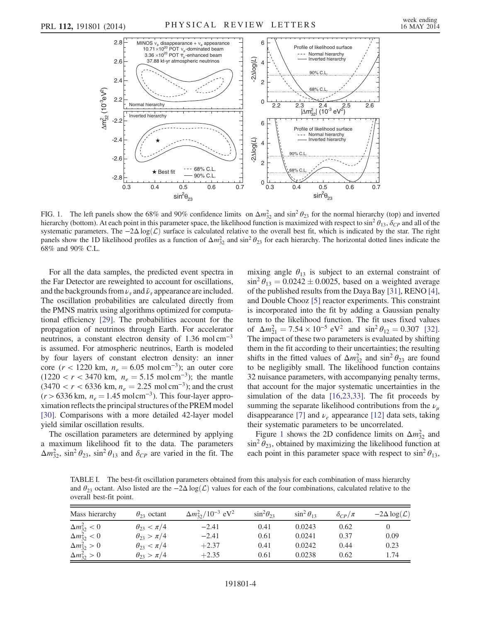<span id="page-3-0"></span>

FIG. 1. The left panels show the 68% and 90% confidence limits on  $\Delta m_{32}^2$  and  $\sin^2 \theta_{23}$  for the normal hierarchy (top) and inverted hierarchy (bottom). At each point in this parameter space, the likelihood function is maximized with respect to  $\sin^2 \theta_{13}$ ,  $\delta_{CP}$  and all of the systematic parameters. The  $-2\Delta \log(\mathcal{L})$  surface is calculated relative to the overall best fit, which is indicated by the star. The right panels show the 1D likelihood profiles as a function of  $\Delta m_{32}^2$  and  $\sin^2 \theta_{23}$  for each hierarchy. The horizontal dotted lines indicate the 68% and 90% C.L.

For all the data samples, the predicted event spectra in the Far Detector are reweighted to account for oscillations, and the backgrounds from  $\nu_{\tau}$  and  $\bar{\nu}_{\tau}$  appearance are included. The oscillation probabilities are calculated directly from the PMNS matrix using algorithms optimized for computational efficiency [\[29\].](#page-5-2) The probabilities account for the propagation of neutrinos through Earth. For accelerator neutrinos, a constant electron density of 1.36 mol cm<sup>−3</sup> is assumed. For atmospheric neutrinos, Earth is modeled by four layers of constant electron density: an inner core ( $r < 1220$  km,  $n_e = 6.05$  mol cm<sup>-3</sup>); an outer core  $(1220 < r < 3470$  km,  $n_e = 5.15$  mol cm<sup>-3</sup>); the mantle  $(3470 < r < 6336$  km,  $n_e = 2.25$  mol cm<sup>-3</sup>); and the crust  $(r > 6336 \text{ km}, n_e = 1.45 \text{ mol cm}^{-3})$ . This four-layer approximation reflects the principal structures of the PREM model [\[30\]](#page-5-3). Comparisons with a more detailed 42-layer model yield similar oscillation results.

The oscillation parameters are determined by applying a maximum likelihood fit to the data. The parameters  $\Delta m_{32}^2$ , sin<sup>2</sup>  $\theta_{23}$ , sin<sup>2</sup>  $\theta_{13}$  and  $\delta_{CP}$  are varied in the fit. The mixing angle  $\theta_{13}$  is subject to an external constraint of  $\sin^2 \theta_{13} = 0.0242 \pm 0.0025$ , based on a weighted average of the published results from the Daya Bay [\[31\]](#page-5-4), RENO [\[4\]](#page-4-19), and Double Chooz [\[5\]](#page-4-20) reactor experiments. This constraint is incorporated into the fit by adding a Gaussian penalty term to the likelihood function. The fit uses fixed values of  $\Delta m_{21}^2 = 7.54 \times 10^{-5} \text{ eV}^2$  and  $\sin^2 \theta_{12} = 0.307$  [\[32\]](#page-5-5). The impact of these two parameters is evaluated by shifting them in the fit according to their uncertainties; the resulting shifts in the fitted values of  $\Delta m_{32}^2$  and  $\sin^2 \theta_{23}$  are found to be negligibly small. The likelihood function contains 32 nuisance parameters, with accompanying penalty terms, that account for the major systematic uncertainties in the simulation of the data [\[16,23,33\].](#page-4-14) The fit proceeds by summing the separate likelihood contributions from the  $\nu_{\mu}$ disappearance [\[7\]](#page-4-5) and  $\nu_e$  appearance [\[12\]](#page-4-10) data sets, taking their systematic parameters to be uncorrelated.

Figure [1](#page-3-0) shows the 2D confidence limits on  $\Delta m_{32}^2$  and  $\sin^2 \theta_{23}$ , obtained by maximizing the likelihood function at each point in this parameter space with respect to  $\sin^2 \theta_{13}$ ,

<span id="page-3-1"></span>TABLE I. The best-fit oscillation parameters obtained from this analysis for each combination of mass hierarchy and  $\theta_{23}$  octant. Also listed are the  $-2\Delta \log(L)$  values for each of the four combinations, calculated relative to the overall best-fit point.

| Mass hierarchy        | $\theta_{23}$ octant  | $\Delta m_{32}^2/10^{-3}$ eV <sup>2</sup> | $\sin^2\theta_{23}$ | $\sin^2\theta_{13}$ | $\delta_{CP}/\pi$ | $-2\Delta \log(L)$ |
|-----------------------|-----------------------|-------------------------------------------|---------------------|---------------------|-------------------|--------------------|
| $\Delta m_{32}^2 < 0$ | $\theta_{23} < \pi/4$ | $-2.41$                                   | 0.41                | 0.0243              | 0.62              |                    |
| $\Delta m_{32}^2 < 0$ | $\theta_{23} > \pi/4$ | $-2.41$                                   | 0.61                | 0.0241              | 0.37              | 0.09               |
| $\Delta m_{32}^2 > 0$ | $\theta_{23} < \pi/4$ | $+2.37$                                   | 0.41                | 0.0242              | 0.44              | 0.23               |
| $\Delta m_{32}^2 > 0$ | $\theta_{23} > \pi/4$ | $+2.35$                                   | 0.61                | 0.0238              | 0.62              | 1.74               |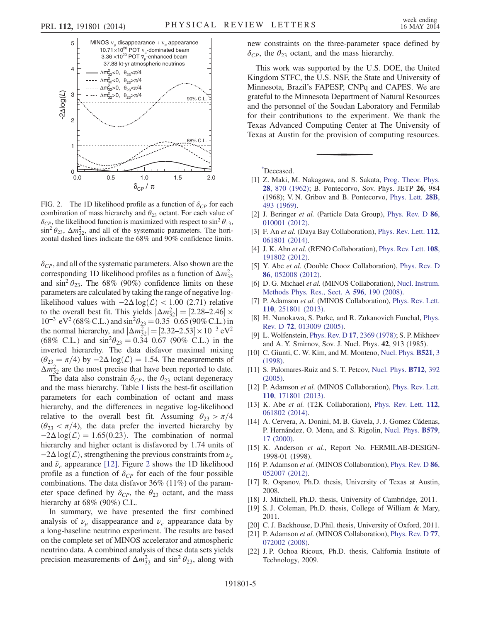<span id="page-4-21"></span>

FIG. 2. The 1D likelihood profile as a function of  $\delta_{CP}$  for each combination of mass hierarchy and  $\theta_{23}$  octant. For each value of  $\delta_{CP}$ , the likelihood function is maximized with respect to sin<sup>2</sup>  $\theta_{13}$ ,  $\sin^2 \theta_{23}$ ,  $\Delta m_{32}^2$ , and all of the systematic parameters. The horizontal dashed lines indicate the 68% and 90% confidence limits.

 $\delta_{CP}$ , and all of the systematic parameters. Also shown are the corresponding 1D likelihood profiles as a function of  $\Delta m_{32}^2$ and  $\sin^2 \theta_{23}$ . The 68% (90%) confidence limits on these parameters are calculated by taking the range of negative loglikelihood values with  $-2\Delta \log(\mathcal{L}) < 1.00$  (2.71) relative to the overall best fit. This yields  $|\Delta m_{32}^2| = [2.28-2.46] \times$  $10^{-3}$  eV<sup>2</sup> (68% C.L.) and sin<sup>2</sup> $\theta_{23} = 0.35 - 0.65$  (90% C.L.) in the normal hierarchy, and  $|\Delta m_{32}^2| = [2.32 - 2.53] \times 10^{-3} \text{ eV}^2$ (68% C.L.) and  $\sin^2\theta_{23} = 0.34 - 0.67$  (90% C.L.) in the inverted hierarchy. The data disfavor maximal mixing  $(\theta_{23} = \pi/4)$  by  $-2\Delta \log(\mathcal{L}) = 1.54$ . The measurements of  $\Delta m_{32}^2$  are the most precise that have been reported to date.

The data also constrain  $\delta_{CP}$ , the  $\theta_{23}$  octant degeneracy and the mass hierarchy. Table [I](#page-3-1) lists the best-fit oscillation parameters for each combination of octant and mass hierarchy, and the differences in negative log-likelihood relative to the overall best fit. Assuming  $\theta_{23} > \pi/4$  $(\theta_{23} < \pi/4)$ , the data prefer the inverted hierarchy by  $-2\Delta \log(\mathcal{L}) = 1.65(0.23)$ . The combination of normal hierarchy and higher octant is disfavored by 1.74 units of  $-2\Delta \log(\mathcal{L})$ , strengthening the previous constraints from  $\nu_e$ and  $\bar{\nu}_e$  appearance [\[12\]](#page-4-10). Figure [2](#page-4-21) shows the 1D likelihood profile as a function of  $\delta_{CP}$  for each of the four possible combinations. The data disfavor 36% (11%) of the parameter space defined by  $\delta_{CP}$ , the  $\theta_{23}$  octant, and the mass hierarchy at 68% (90%) C.L.

In summary, we have presented the first combined analysis of  $\nu_{\mu}$  disappearance and  $\nu_{e}$  appearance data by a long-baseline neutrino experiment. The results are based on the complete set of MINOS accelerator and atmospheric neutrino data. A combined analysis of these data sets yields precision measurements of  $\Delta m_{32}^2$  and  $\sin^2 \theta_{23}$ , along with new constraints on the three-parameter space defined by  $\delta_{CP}$ , the  $\theta_{23}$  octant, and the mass hierarchy.

This work was supported by the U.S. DOE, the United Kingdom STFC, the U.S. NSF, the State and University of Minnesota, Brazil's FAPESP, CNPq and CAPES. We are grateful to the Minnesota Department of Natural Resources and the personnel of the Soudan Laboratory and Fermilab for their contributions to the experiment. We thank the Texas Advanced Computing Center at The University of Texas at Austin for the provision of computing resources.

<span id="page-4-0"></span>[\\*](#page-0-0) Deceased.

- <span id="page-4-1"></span>[1] Z. Maki, M. Nakagawa, and S. Sakata, [Prog. Theor. Phys.](http://dx.doi.org/10.1143/PTP.28.870) 28[, 870 \(1962\);](http://dx.doi.org/10.1143/PTP.28.870) B. Pontecorvo, Sov. Phys. JETP 26, 984 (1968); V. N. Gribov and B. Pontecorvo, [Phys. Lett.](http://dx.doi.org/10.1016/0370-2693(69)90525-5) 28B, [493 \(1969\)](http://dx.doi.org/10.1016/0370-2693(69)90525-5).
- <span id="page-4-3"></span><span id="page-4-2"></span>[2] J. Beringer et al. (Particle Data Group), [Phys. Rev. D](http://dx.doi.org/10.1103/PhysRevD.86.010001) 86, [010001 \(2012\).](http://dx.doi.org/10.1103/PhysRevD.86.010001)
- <span id="page-4-19"></span>[3] F. An et al. (Daya Bay Collaboration), [Phys. Rev. Lett.](http://dx.doi.org/10.1103/PhysRevLett.112.061801) 112, [061801 \(2014\).](http://dx.doi.org/10.1103/PhysRevLett.112.061801)
- <span id="page-4-20"></span>[4] J. K. Ahn et al. (RENO Collaboration), [Phys. Rev. Lett.](http://dx.doi.org/10.1103/PhysRevLett.108.191802) 108, [191802 \(2012\).](http://dx.doi.org/10.1103/PhysRevLett.108.191802)
- <span id="page-4-4"></span>[5] Y. Abe et al. (Double Chooz Collaboration), [Phys. Rev. D](http://dx.doi.org/10.1103/PhysRevD.86.052008) 86[, 052008 \(2012\).](http://dx.doi.org/10.1103/PhysRevD.86.052008)
- <span id="page-4-5"></span>[6] D. G. Michael et al. (MINOS Collaboration), [Nucl. Instrum.](http://dx.doi.org/10.1016/j.nima.2008.08.003) [Methods Phys. Res., Sect. A](http://dx.doi.org/10.1016/j.nima.2008.08.003) 596, 190 (2008).
- <span id="page-4-6"></span>[7] P. Adamson et al. (MINOS Collaboration), [Phys. Rev. Lett.](http://dx.doi.org/10.1103/PhysRevLett.110.251801) 110[, 251801 \(2013\).](http://dx.doi.org/10.1103/PhysRevLett.110.251801)
- <span id="page-4-7"></span>[8] H. Nunokawa, S. Parke, and R. Zukanovich Funchal, [Phys.](http://dx.doi.org/10.1103/PhysRevD.72.013009) Rev. D 72[, 013009 \(2005\)](http://dx.doi.org/10.1103/PhysRevD.72.013009).
- <span id="page-4-8"></span>[9] L. Wolfenstein, Phys. Rev. D 17[, 2369 \(1978\)](http://dx.doi.org/10.1103/PhysRevD.17.2369); S. P. Mikheev and A. Y. Smirnov, Sov. J. Nucl. Phys. 42, 913 (1985).
- <span id="page-4-9"></span>[10] C. Giunti, C. W. Kim, and M. Monteno, [Nucl. Phys.](http://dx.doi.org/10.1016/S0550-3213(98)00105-9) **B521**, 3 [\(1998\).](http://dx.doi.org/10.1016/S0550-3213(98)00105-9)
- <span id="page-4-10"></span>[11] S. Palomares-Ruiz and S. T. Petcov, [Nucl. Phys.](http://dx.doi.org/10.1016/j.nuclphysb.2005.01.045) **B712**, 392 [\(2005\).](http://dx.doi.org/10.1016/j.nuclphysb.2005.01.045)
- <span id="page-4-11"></span>[12] P. Adamson et al. (MINOS Collaboration), [Phys. Rev. Lett.](http://dx.doi.org/10.1103/PhysRevLett.110.171801) 110[, 171801 \(2013\).](http://dx.doi.org/10.1103/PhysRevLett.110.171801)
- <span id="page-4-12"></span>[13] K. Abe et al. (T2K Collaboration), [Phys. Rev. Lett.](http://dx.doi.org/10.1103/PhysRevLett.112.061802) 112, [061802 \(2014\).](http://dx.doi.org/10.1103/PhysRevLett.112.061802)
- [14] A. Cervera, A. Donini, M. B. Gavela, J. J. Gomez Cádenas, P. Hernández, O. Mena, and S. Rigolin, [Nucl. Phys.](http://dx.doi.org/10.1016/S0550-3213(00)00221-2) B579, [17 \(2000\).](http://dx.doi.org/10.1016/S0550-3213(00)00221-2)
- <span id="page-4-14"></span><span id="page-4-13"></span>[15] K. Anderson et al., Report No. FERMILAB-DESIGN-1998-01 (1998).
- <span id="page-4-15"></span>[16] P. Adamson et al. (MINOS Collaboration), [Phys. Rev. D](http://dx.doi.org/10.1103/PhysRevD.86.052007) 86, [052007 \(2012\).](http://dx.doi.org/10.1103/PhysRevD.86.052007)
- <span id="page-4-16"></span>[17] R. Ospanov, Ph.D. thesis, University of Texas at Austin, 2008.
- [18] J. Mitchell, Ph.D. thesis, University of Cambridge, 2011.
- [19] S. J. Coleman, Ph.D. thesis, College of William & Mary, 2011.
- <span id="page-4-17"></span>[20] C. J. Backhouse, D.Phil. thesis, University of Oxford, 2011.
- <span id="page-4-18"></span>[21] P. Adamson et al. (MINOS Collaboration), [Phys. Rev. D](http://dx.doi.org/10.1103/PhysRevD.77.072002) 77, [072002 \(2008\).](http://dx.doi.org/10.1103/PhysRevD.77.072002)
- [22] J. P. Ochoa Ricoux, Ph.D. thesis, California Institute of Technology, 2009.